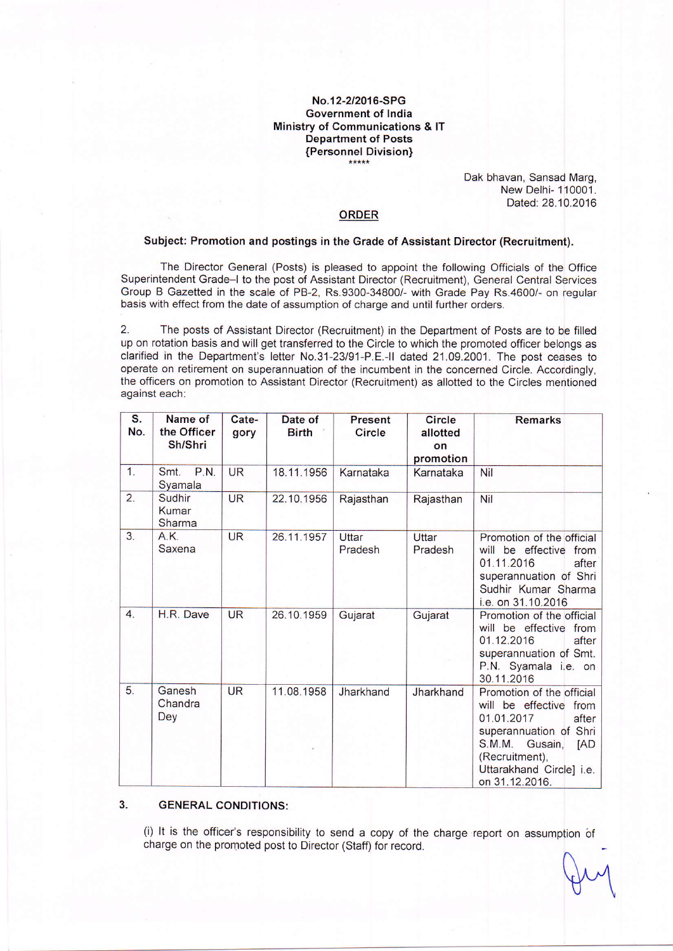# No.12-212016-SPG Government of lndia Ministry of Communications & lT Department of Posts {Personnel Division}

Dak bhavan, Sansad Marg, New Delhi- 110001. Dated: 28.10.2016

### ORDER

## Subject: Promotion and postings in the Grade of Assistant Director (Recruitment).

The Director General (Posts) is pleased to appoint the following Officials of the Office Superintendent Grade-l to the post of Assistant Director (Recruitment), General Central Services Group B Gazetted in the scale of PB-2, Rs.9300-34800/- with Grade Pay Rs.4600/- on regular basis with effect from the date of assumption of charge and until further orders.

2. The posts of Assistant Director (Recruitment) jn the Department of Posts are to be filled up on rotation basis and will get transferred to the Circle to which the promoted officer belongs as clarified in the Department's letter No.31-23/91-P.E.-ll dated 21.09.2001. The post ceases to operate on retirement on superannuation of the incumbent in the concerned Circle. Accordingly, the officers on promotion to Assistant Director (Recruitment) as allotted to the Circles mentioned against each:

| S.<br>No.        | Name of<br>the Officer<br>Sh/Shri | Cate-<br>gory | Date of<br><b>Birth</b> | Present<br><b>Circle</b> | <b>Circle</b><br>allotted<br>on<br>promotion | <b>Remarks</b>                                                                                                                                                                                                    |
|------------------|-----------------------------------|---------------|-------------------------|--------------------------|----------------------------------------------|-------------------------------------------------------------------------------------------------------------------------------------------------------------------------------------------------------------------|
| 1.               | <b>P.N.</b><br>Smt.<br>Syamala    | <b>UR</b>     | 18.11.1956              | Karnataka                | Karnataka                                    | Nil                                                                                                                                                                                                               |
| 2.               | Sudhir<br>Kumar<br>Sharma         | <b>UR</b>     | 22.10.1956              | Rajasthan                | Rajasthan                                    | Nil                                                                                                                                                                                                               |
| 3 <sub>1</sub>   | A.K.<br>Saxena                    | <b>UR</b>     | 26.11.1957              | Uttar<br>Pradesh         | Uttar<br>Pradesh                             | Promotion of the official<br>will be effective from<br>01.11.2016<br>after<br>superannuation of Shri<br>Sudhir Kumar Sharma<br>i.e. on 31.10.2016                                                                 |
| $\overline{4}$ . | H.R. Dave                         | <b>UR</b>     | 26.10.1959              | Gujarat                  | Gujarat                                      | Promotion of the official<br>will be effective from<br>01.12.2016<br>after<br>superannuation of Smt.<br>P.N. Syamala i.e. on<br>30.11.2016                                                                        |
| 5.               | Ganesh<br>Chandra<br>Dey          | <b>UR</b>     | 11.08.1958              | Jharkhand                | Jharkhand                                    | Promotion of the official<br>will be effective<br>from<br>01.01.2017<br>after<br>superannuation of Shri<br><b>S.M.M.</b><br>Gusain,<br><b>IAD</b><br>(Recruitment),<br>Uttarakhand Circle] i.e.<br>on 31.12.2016. |

#### 3. GENERAL CONDITIONS:

(i) It is the officer's responsibility to send a copy of the charge report on assumption of charge on the promoted post to Director (Staff) for record.

n  $\forall$  U